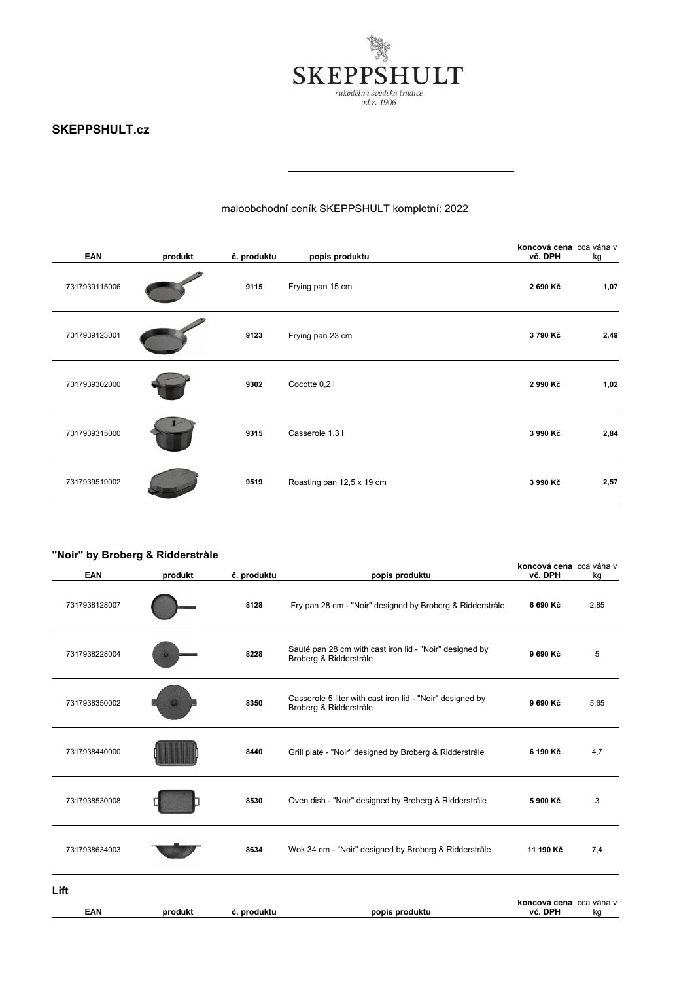

# maloobchodní ceník SKEPPSHULT kompletní: 2022

| <b>EAN</b>    | produkt | č. produktu | popis produktu            | koncová cena cca váha v<br>vč. DPH | kg   |
|---------------|---------|-------------|---------------------------|------------------------------------|------|
| 7317939115006 |         | 9115        | Frying pan 15 cm          | 2 690 Kč                           | 1,07 |
| 7317939123001 |         | 9123        | Frying pan 23 cm          | 3790 Kč                            | 2,49 |
| 7317939302000 |         | 9302        | Cocotte 0,21              | 2 990 Kč                           | 1,02 |
| 7317939315000 |         | 9315        | Casserole 1,31            | 3 990 Kč                           | 2,84 |
| 7317939519002 |         | 9519        | Roasting pan 12,5 x 19 cm | 3 990 Kč                           | 2,57 |

| "Noir" by Broberg & Ridderstråle<br>EAN | produkt | č. produktu | popis produktu                                                                      | koncová cena cca váha v<br>vč. DPH | kg   |
|-----------------------------------------|---------|-------------|-------------------------------------------------------------------------------------|------------------------------------|------|
| 7317938128007                           |         | 8128        | Fry pan 28 cm - "Noir" designed by Broberg & Ridderstråle                           | 6 690 Kč                           | 2,85 |
| 7317938228004                           |         | 8228        | Sauté pan 28 cm with cast iron lid - "Noir" designed by<br>Broberg & Ridderstråle   | 9 690 Kč                           | 5    |
| 7317938350002                           |         | 8350        | Casserole 5 liter with cast iron lid - "Noir" designed by<br>Broberg & Ridderstråle | 9 690 Kč                           | 5,65 |
| 7317938440000                           |         | 8440        | Grill plate - "Noir" designed by Broberg & Ridderstråle                             | 6 190 Kč                           | 4,7  |
| 7317938530008                           |         | 8530        | Oven dish - "Noir" designed by Broberg & Ridderstråle                               | 5 900 Kč                           | 3    |
| 7317938634003                           |         | 8634        | Wok 34 cm - "Noir" designed by Broberg & Ridderstråle                               | 11 190 Kč                          | 7,4  |
| Lift<br><b>EAN</b>                      | produkt | č. produktu | popis produktu                                                                      | koncová cena cca váha v<br>vč. DPH | kg   |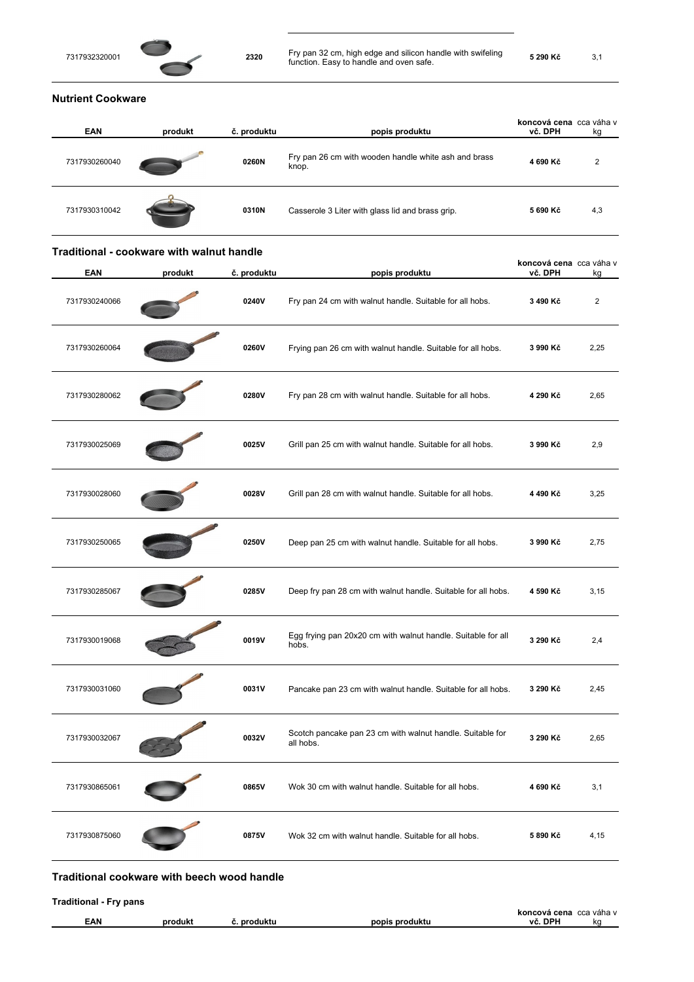

## **Nutrient Cookware**

| <b>EAN</b>    | produkt | č. produktu | popis produktu                                                | koncová cena cca váha v<br>vč. DPH | kg  |
|---------------|---------|-------------|---------------------------------------------------------------|------------------------------------|-----|
| 7317930260040 |         | 0260N       | Fry pan 26 cm with wooden handle white ash and brass<br>knop. | 4 690 Kč                           | 2   |
| 7317930310042 |         | 0310N       | Casserole 3 Liter with glass lid and brass grip.              | 5 690 Kč                           | 4,3 |

#### **Traditional - cookware with walnut handle**

| EAN           | produkt | č. produktu | popis produktu                                                         | koncová cena cca váha v<br>vč. DPH | kq             |
|---------------|---------|-------------|------------------------------------------------------------------------|------------------------------------|----------------|
| 7317930240066 |         | 0240V       | Fry pan 24 cm with walnut handle. Suitable for all hobs.               | 3 490 Kč                           | $\overline{2}$ |
| 7317930260064 |         | 0260V       | Frying pan 26 cm with walnut handle. Suitable for all hobs.            | 3 990 Kč                           | 2,25           |
| 7317930280062 |         | 0280V       | Fry pan 28 cm with walnut handle. Suitable for all hobs.               | 4 290 Kč                           | 2,65           |
| 7317930025069 |         | 0025V       | Grill pan 25 cm with walnut handle. Suitable for all hobs.             | 3 990 Kč                           | 2,9            |
| 7317930028060 |         | 0028V       | Grill pan 28 cm with walnut handle. Suitable for all hobs.             | 4 490 Kč                           | 3,25           |
| 7317930250065 |         | 0250V       | Deep pan 25 cm with walnut handle. Suitable for all hobs.              | 3 990 Kč                           | 2,75           |
| 7317930285067 |         | 0285V       | Deep fry pan 28 cm with walnut handle. Suitable for all hobs.          | 4 590 Kč                           | 3,15           |
| 7317930019068 |         | 0019V       | Egg frying pan 20x20 cm with walnut handle. Suitable for all<br>hobs.  | 3 290 Kč                           | 2,4            |
| 7317930031060 |         | 0031V       | Pancake pan 23 cm with walnut handle. Suitable for all hobs.           | 3 290 Kč                           | 2,45           |
| 7317930032067 |         | 0032V       | Scotch pancake pan 23 cm with walnut handle. Suitable for<br>all hobs. | 3 290 Kč                           | 2,65           |
| 7317930865061 |         | 0865V       | Wok 30 cm with walnut handle. Suitable for all hobs.                   | 4 690 Kč                           | 3,1            |
| 7317930875060 |         | 0875V       | Wok 32 cm with walnut handle. Suitable for all hobs.                   | 5 890 Kč                           | 4,15           |

**Traditional - Fry pans** 

|     |     |              |                                | cena<br><b>COVA</b><br>. | $\sim$<br>$\ldots$<br>vana<br>wa |
|-----|-----|--------------|--------------------------------|--------------------------|----------------------------------|
| EAN | --- | nro<br>duktu | popis<br>nrod<br>.<br>. ouuklu | <b>DPH</b><br>vē<br>. .  | ko                               |
|     |     |              |                                |                          |                                  |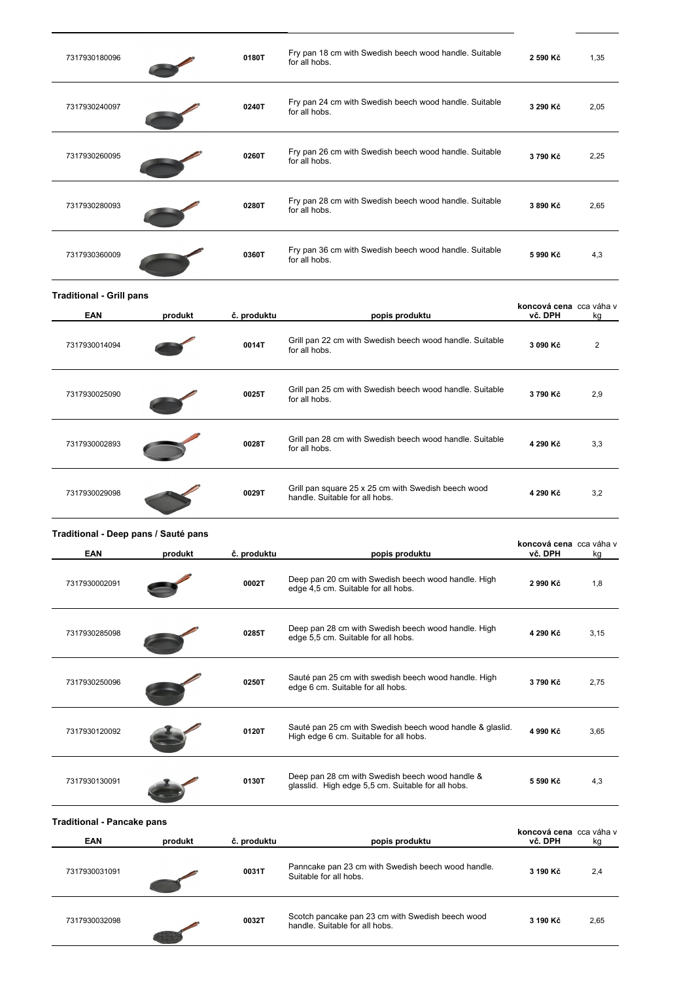| 7317930180096                        |         | 0180T       | Fry pan 18 cm with Swedish beech wood handle. Suitable<br>for all hobs.                               | 2 590 Kč                           | 1,35           |
|--------------------------------------|---------|-------------|-------------------------------------------------------------------------------------------------------|------------------------------------|----------------|
| 7317930240097                        |         | 0240T       | Fry pan 24 cm with Swedish beech wood handle. Suitable<br>for all hobs.                               | 3 290 Kč                           | 2,05           |
| 7317930260095                        |         | 0260T       | Fry pan 26 cm with Swedish beech wood handle. Suitable<br>for all hobs.                               | 3790 Kč                            | 2,25           |
| 7317930280093                        |         | 0280T       | Fry pan 28 cm with Swedish beech wood handle. Suitable<br>for all hobs.                               | 3 890 Kč                           | 2,65           |
| 7317930360009                        |         | 0360T       | Fry pan 36 cm with Swedish beech wood handle. Suitable<br>for all hobs.                               | 5 990 Kč                           | 4,3            |
| <b>Traditional - Grill pans</b>      |         |             |                                                                                                       |                                    |                |
| EAN                                  | produkt | č. produktu | popis produktu                                                                                        | koncová cena cca váha v<br>vč. DPH | kg             |
| 7317930014094                        |         | 0014T       | Grill pan 22 cm with Swedish beech wood handle. Suitable<br>for all hobs.                             | 3 090 Kč                           | $\overline{2}$ |
| 7317930025090                        |         | 0025T       | Grill pan 25 cm with Swedish beech wood handle. Suitable<br>for all hobs.                             | 3790 Kč                            | 2,9            |
| 7317930002893                        |         | 0028T       | Grill pan 28 cm with Swedish beech wood handle. Suitable<br>for all hobs.                             | 4 290 Kč                           | 3,3            |
| 7317930029098                        |         | 0029T       | Grill pan square 25 x 25 cm with Swedish beech wood<br>handle. Suitable for all hobs.                 | 4 290 Kč                           | 3,2            |
| Traditional - Deep pans / Sauté pans |         |             |                                                                                                       | koncová cena cca váha v            |                |
| EAN                                  | produkt | č. produktu | popis produktu                                                                                        | vč. DPH                            | kg             |
| 7317930002091                        |         | 0002T       | Deep pan 20 cm with Swedish beech wood handle. High<br>edge 4,5 cm. Suitable for all hobs.            | 2 990 Kč                           | 1,8            |
| 7317930285098                        |         | 0285T       | Deep pan 28 cm with Swedish beech wood handle. High<br>edge 5,5 cm. Suitable for all hobs.            | 4 290 Kč                           | 3,15           |
| 7317930250096                        |         | 0250T       | Sauté pan 25 cm with swedish beech wood handle. High<br>edge 6 cm. Suitable for all hobs.             | 3790 Kč                            | 2,75           |
| 7317930120092                        |         | 0120T       | Sauté pan 25 cm with Swedish beech wood handle & glaslid.<br>High edge 6 cm. Suitable for all hobs.   | 4 990 Kč                           | 3,65           |
| 7317930130091                        |         | 0130T       | Deep pan 28 cm with Swedish beech wood handle &<br>glasslid. High edge 5,5 cm. Suitable for all hobs. | 5 590 Kč                           | 4,3            |
| <b>Traditional - Pancake pans</b>    |         |             |                                                                                                       | koncová cena cca váha v            |                |
| <b>EAN</b>                           | produkt | č. produktu | popis produktu                                                                                        | vč. DPH                            | kg             |
| 7317930031091                        |         | 0031T       | Panncake pan 23 cm with Swedish beech wood handle.<br>Suitable for all hobs.                          | 3 190 Kč                           | 2,4            |
| 7317930032098                        |         | 0032T       | Scotch pancake pan 23 cm with Swedish beech wood<br>handle. Suitable for all hobs.                    | 3 190 Kč                           | 2,65           |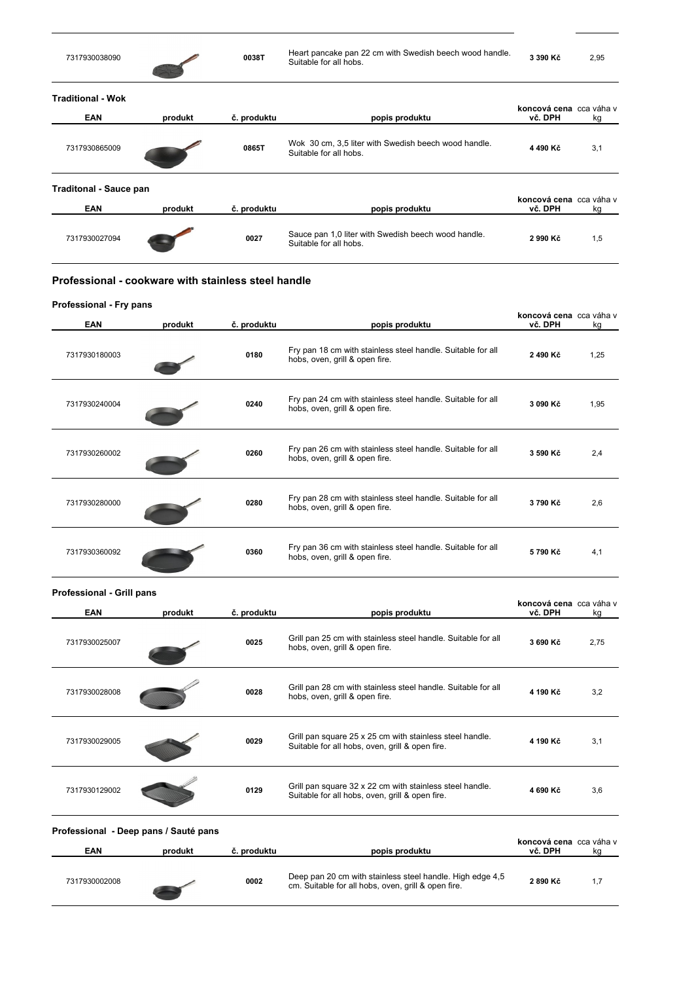| 7317930038090                                       |         | 0038T       | Heart pancake pan 22 cm with Swedish beech wood handle.<br>Suitable for all hobs.             | 3 390 Kč                           | 2,95 |
|-----------------------------------------------------|---------|-------------|-----------------------------------------------------------------------------------------------|------------------------------------|------|
| <b>Traditional - Wok</b><br><b>EAN</b>              | produkt | č. produktu |                                                                                               | koncová cena cca váha v<br>vč. DPH |      |
|                                                     |         |             | popis produktu                                                                                |                                    | kg   |
| 7317930865009                                       |         | 0865T       | Wok 30 cm, 3,5 liter with Swedish beech wood handle.<br>Suitable for all hobs.                | 4 490 Kč                           | 3,1  |
| <b>Traditonal - Sauce pan</b>                       |         |             |                                                                                               | koncová cena cca váha v            |      |
| <b>EAN</b>                                          | produkt | č. produktu | popis produktu                                                                                | vč. DPH                            | kg   |
| 7317930027094                                       |         | 0027        | Sauce pan 1,0 liter with Swedish beech wood handle.<br>Suitable for all hobs.                 | 2 990 Kč                           | 1,5  |
| Professional - cookware with stainless steel handle |         |             |                                                                                               |                                    |      |
| Professional - Fry pans                             |         |             |                                                                                               |                                    |      |
|                                                     |         |             |                                                                                               | koncová cena cca váha v            |      |
| <b>EAN</b>                                          | produkt | č. produktu | popis produktu                                                                                | vč. DPH                            | kg   |
| 7317930180003                                       |         | 0180        | Fry pan 18 cm with stainless steel handle. Suitable for all<br>hobs, oven, grill & open fire. | 2 490 Kč                           | 1,25 |

| 7317930240004 | 0240 | Fry pan 24 cm with stainless steel handle. Suitable for all<br>hobs, oven, grill & open fire. | 3 090 Kč | 1,95 |
|---------------|------|-----------------------------------------------------------------------------------------------|----------|------|
| 7317930260002 | 0260 | Fry pan 26 cm with stainless steel handle. Suitable for all<br>hobs, oven, grill & open fire. | 3 590 Kč | 2,4  |
| 7317930280000 | 0280 | Fry pan 28 cm with stainless steel handle. Suitable for all<br>hobs, oven, grill & open fire. | 3790 Kč  | 2,6  |
| 7317930360092 | 0360 | Fry pan 36 cm with stainless steel handle. Suitable for all<br>hobs, oven, grill & open fire. | 5790 Kč  | 4,1  |

| <b>EAN</b>    | produkt | č. produktu | popis produktu                                                                                              | koncová cena cca váha v<br>vč. DPH | kg   |
|---------------|---------|-------------|-------------------------------------------------------------------------------------------------------------|------------------------------------|------|
| 7317930025007 |         | 0025        | Grill pan 25 cm with stainless steel handle. Suitable for all<br>hobs, oven, grill & open fire.             | 3 690 Kč                           | 2,75 |
| 7317930028008 |         | 0028        | Grill pan 28 cm with stainless steel handle. Suitable for all<br>hobs, oven, grill & open fire.             | 4 190 Kč                           | 3,2  |
| 7317930029005 |         | 0029        | Grill pan square 25 x 25 cm with stainless steel handle.<br>Suitable for all hobs, oven, grill & open fire. | 4 190 Kč                           | 3,1  |
| 7317930129002 |         | 0129        | Grill pan square 32 x 22 cm with stainless steel handle.<br>Suitable for all hobs, oven, grill & open fire. | 4 690 Kč                           | 3,6  |

| EAN           | produkt | č. produktu | popis produktu                                                                                                   | <b>RUILCOVA CENA</b> CCA VANA V<br>vč. DPH | kg |
|---------------|---------|-------------|------------------------------------------------------------------------------------------------------------------|--------------------------------------------|----|
| 7317930002008 |         | 0002        | Deep pan 20 cm with stainless steel handle. High edge 4,5<br>cm. Suitable for all hobs, oven, grill & open fire. | 2890 Kč                                    |    |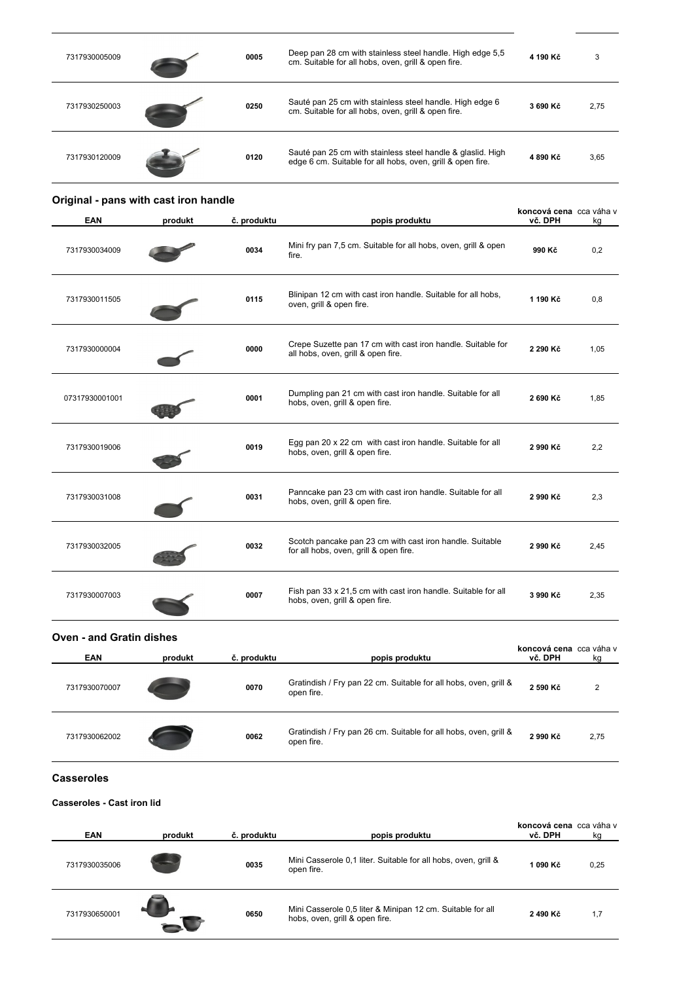| 7317930005009 | 0005 | Deep pan 28 cm with stainless steel handle. High edge 5,5<br>cm. Suitable for all hobs, oven, grill & open fire.          | 4 190 Kč | 3    |
|---------------|------|---------------------------------------------------------------------------------------------------------------------------|----------|------|
| 7317930250003 | 0250 | Sauté pan 25 cm with stainless steel handle. High edge 6<br>cm. Suitable for all hobs, oven, grill & open fire.           | 3 690 Kč | 2,75 |
| 7317930120009 | 0120 | Sauté pan 25 cm with stainless steel handle & glaslid. High<br>edge 6 cm. Suitable for all hobs, oven, grill & open fire. | 4890 Kč  | 3,65 |

| <b>EAN</b>     | produkt | č. produktu | popis produktu                                                                                     | koncová cena cca váha v<br>vč. DPH | kq   |
|----------------|---------|-------------|----------------------------------------------------------------------------------------------------|------------------------------------|------|
| 7317930034009  |         | 0034        | Mini fry pan 7,5 cm. Suitable for all hobs, oven, grill & open<br>fire.                            | 990 Kč                             | 0,2  |
| 7317930011505  |         | 0115        | Blinipan 12 cm with cast iron handle. Suitable for all hobs,<br>oven, grill & open fire.           | 1 190 Kč                           | 0,8  |
| 7317930000004  |         | 0000        | Crepe Suzette pan 17 cm with cast iron handle. Suitable for<br>all hobs, oven, grill & open fire.  | 2 290 Kč                           | 1,05 |
| 07317930001001 |         | 0001        | Dumpling pan 21 cm with cast iron handle. Suitable for all<br>hobs, oven, grill & open fire.       | 2 690 Kč                           | 1,85 |
| 7317930019006  |         | 0019        | Egg pan 20 x 22 cm with cast iron handle. Suitable for all<br>hobs, oven, grill & open fire.       | 2 990 Kč                           | 2,2  |
| 7317930031008  |         | 0031        | Panncake pan 23 cm with cast iron handle. Suitable for all<br>hobs, oven, grill & open fire.       | 2 990 Kč                           | 2,3  |
| 7317930032005  |         | 0032        | Scotch pancake pan 23 cm with cast iron handle. Suitable<br>for all hobs, oven, grill & open fire. | 2 990 Kč                           | 2,45 |
| 7317930007003  |         | 0007        | Fish pan 33 x 21,5 cm with cast iron handle. Suitable for all<br>hobs, oven, grill & open fire.    | 3 990 Kč                           | 2,35 |

| <b>Oven - and Gratin dishes</b> |         |             |                                                                                |                                    |      |
|---------------------------------|---------|-------------|--------------------------------------------------------------------------------|------------------------------------|------|
| <b>EAN</b>                      | produkt | č. produktu | popis produktu                                                                 | koncová cena cca váha v<br>vč. DPH | kg   |
| 7317930070007                   |         | 0070        | Gratindish / Fry pan 22 cm. Suitable for all hobs, oven, grill &<br>open fire. | 2 590 Kč                           | 2    |
| 7317930062002                   |         | 0062        | Gratindish / Fry pan 26 cm. Suitable for all hobs, oven, grill &<br>open fire. | 2 990 Kč                           | 2,75 |

#### $\csc$  **Casseroles**

### **Casseroles - Cast iron lid**

**Original - pans with cast iron handle**

| <b>EAN</b>    | produkt | č. produktu | popis produktu                                                                               | koncová cena cca váha v<br>vč. DPH | kg   |
|---------------|---------|-------------|----------------------------------------------------------------------------------------------|------------------------------------|------|
| 7317930035006 |         | 0035        | Mini Casserole 0,1 liter. Suitable for all hobs, oven, grill &<br>open fire.                 | 1 090 Kč                           | 0,25 |
| 7317930650001 |         | 0650        | Mini Casserole 0.5 liter & Minipan 12 cm. Suitable for all<br>hobs, oven, grill & open fire. | 2490 Kč                            | 1,7  |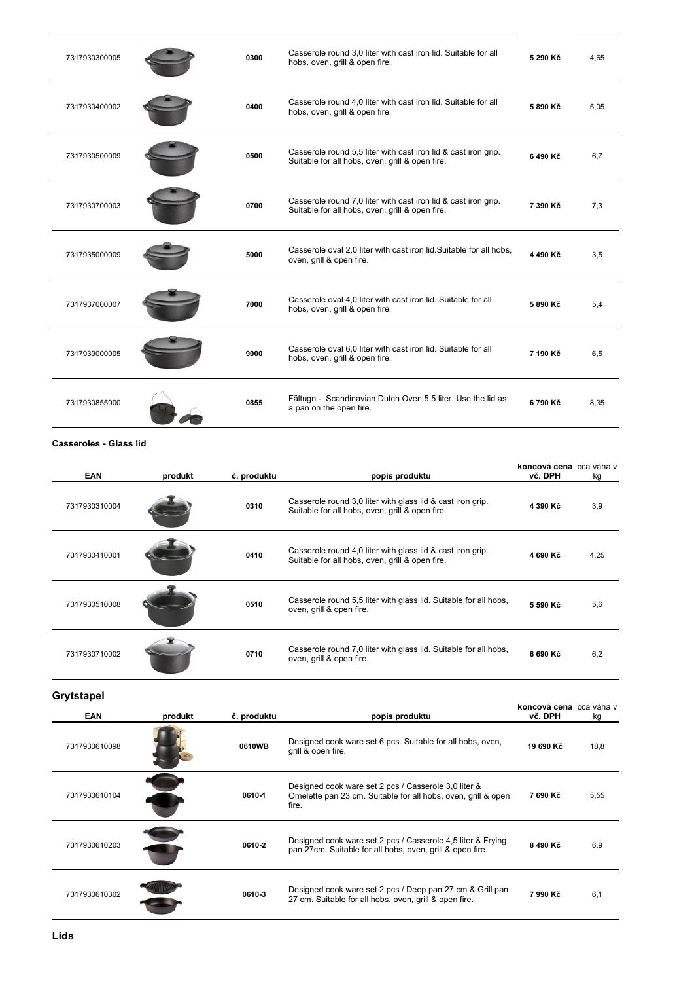| 7317930300005 | 0300 | Casserole round 3,0 liter with cast iron lid. Suitable for all<br>hobs, oven, grill & open fire.                  | 5 290 Kč | 4.65 |
|---------------|------|-------------------------------------------------------------------------------------------------------------------|----------|------|
| 7317930400002 | 0400 | Casserole round 4,0 liter with cast iron lid. Suitable for all<br>hobs, oven, grill & open fire.                  | 5890 Kč  | 5,05 |
| 7317930500009 | 0500 | Casserole round 5,5 liter with cast iron lid & cast iron grip.<br>Suitable for all hobs, oven, grill & open fire. | 6490 Kč  | 6,7  |
| 7317930700003 | 0700 | Casserole round 7,0 liter with cast iron lid & cast iron grip.<br>Suitable for all hobs, oven, grill & open fire. | 7 390 Kč | 7,3  |
| 7317935000009 | 5000 | Casserole oval 2.0 liter with cast iron lid. Suitable for all hobs,<br>oven, grill & open fire.                   | 4 490 Kč | 3,5  |
| 7317937000007 | 7000 | Casserole oval 4.0 liter with cast iron lid. Suitable for all<br>hobs, oven, grill & open fire.                   | 5 890 Kč | 5,4  |
| 7317939000005 | 9000 | Casserole oval 6,0 liter with cast iron lid. Suitable for all<br>hobs, oven, grill & open fire.                   | 7 190 Kč | 6,5  |
| 7317930855000 | 0855 | Fältugn - Scandinavian Dutch Oven 5,5 liter. Use the lid as<br>a pan on the open fire.                            | 6790 Kč  | 8,35 |

#### **Casseroles - Glass lid**

| <b>EAN</b>    | produkt | č. produktu | popis produktu                                                                                                | koncová cena cca váha v<br>vč. DPH | kg   |
|---------------|---------|-------------|---------------------------------------------------------------------------------------------------------------|------------------------------------|------|
| 7317930310004 |         | 0310        | Casserole round 3,0 liter with glass lid & cast iron grip.<br>Suitable for all hobs, oven, grill & open fire. | 4 390 Kč                           | 3,9  |
| 7317930410001 |         | 0410        | Casserole round 4,0 liter with glass lid & cast iron grip.<br>Suitable for all hobs, oven, grill & open fire. | 4 690 Kč                           | 4,25 |
| 7317930510008 |         | 0510        | Casserole round 5,5 liter with glass lid. Suitable for all hobs,<br>oven, grill & open fire.                  | 5 590 Kč                           | 5,6  |
| 7317930710002 |         | 0710        | Casserole round 7,0 liter with glass lid. Suitable for all hobs,<br>oven, grill & open fire.                  | 6 690 Kč                           | 6,2  |

**Grytstapel** 

| <b>EAN</b>    | produkt | č. produktu | popis produktu                                                                                                                 | koncová cena cca váha v<br>vč. DPH | kg   |
|---------------|---------|-------------|--------------------------------------------------------------------------------------------------------------------------------|------------------------------------|------|
| 7317930610098 |         | 0610WB      | Designed cook ware set 6 pcs. Suitable for all hobs, oven,<br>grill & open fire.                                               | 19 690 Kč                          | 18,8 |
| 7317930610104 |         | 0610-1      | Designed cook ware set 2 pcs / Casserole 3,0 liter &<br>Omelette pan 23 cm. Suitable for all hobs, oven, grill & open<br>fire. | 7 690 Kč                           | 5,55 |
| 7317930610203 |         | 0610-2      | Designed cook ware set 2 pcs / Casserole 4,5 liter & Frying<br>pan 27cm. Suitable for all hobs, oven, grill & open fire.       | 8490 Kč                            | 6,9  |
| 7317930610302 |         | 0610-3      | Designed cook ware set 2 pcs / Deep pan 27 cm & Grill pan<br>27 cm. Suitable for all hobs, oven, grill & open fire.            | 7 990 Kč                           | 6,1  |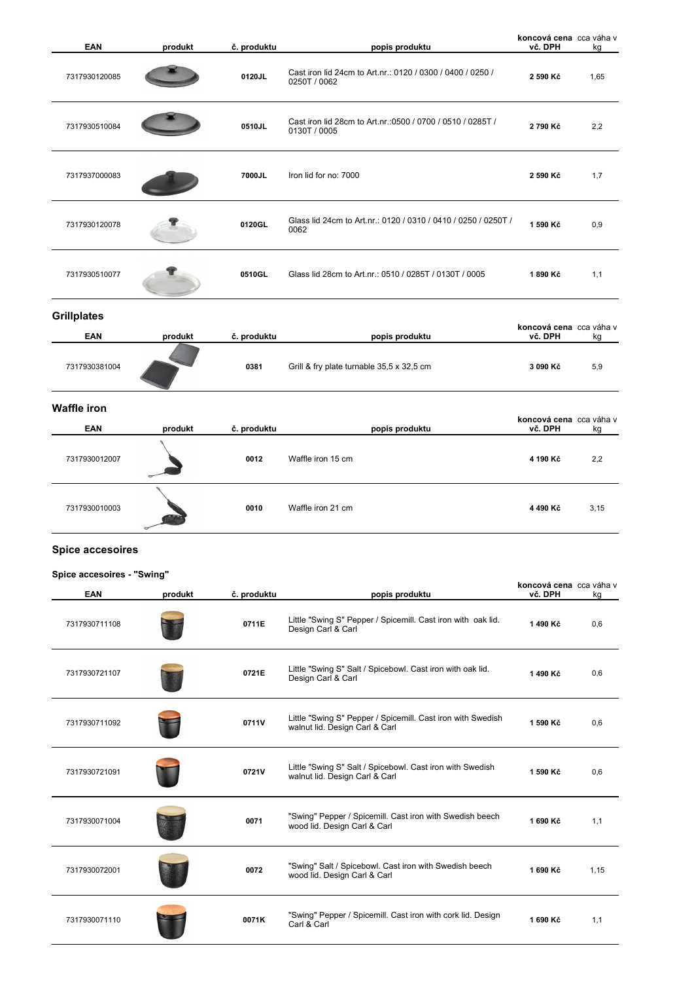| <b>EAN</b>                 | produkt | č. produktu | popis produktu                                                                                | koncová cena cca váha v<br>vč. DPH | kg   |
|----------------------------|---------|-------------|-----------------------------------------------------------------------------------------------|------------------------------------|------|
| 7317930120085              |         | 0120JL      | Cast iron lid 24cm to Art.nr.: 0120 / 0300 / 0400 / 0250 /<br>0250T / 0062                    | 2 590 Kč                           | 1,65 |
| 7317930510084              |         | 0510JL      | Cast iron lid 28cm to Art.nr.: 0500 / 0700 / 0510 / 0285T /<br>0130T / 0005                   | 2790 Kč                            | 2,2  |
| 7317937000083              |         | 7000JL      | Iron lid for no: 7000                                                                         | 2 590 Kč                           | 1,7  |
| 7317930120078              |         | 0120GL      | Glass lid 24cm to Art.nr.: 0120 / 0310 / 0410 / 0250 / 0250T /<br>0062                        | 1 590 Kč                           | 0,9  |
| 7317930510077              |         | 0510GL      | Glass lid 28cm to Art.nr.: 0510 / 0285T / 0130T / 0005                                        | 1890 Kč                            | 1,1  |
| <b>Grillplates</b>         |         |             |                                                                                               |                                    |      |
| EAN                        | produkt | č. produktu | popis produktu                                                                                | koncová cena cca váha v<br>vč. DPH | kg   |
| 7317930381004              |         | 0381        | Grill & fry plate turnable 35,5 x 32,5 cm                                                     | 3 090 Kč                           | 5,9  |
| <b>Waffle iron</b>         |         |             |                                                                                               |                                    |      |
| <b>EAN</b>                 | produkt | č. produktu | popis produktu                                                                                | koncová cena cca váha v<br>vč. DPH | kg   |
| 7317930012007              |         | 0012        | Waffle iron 15 cm                                                                             | 4 190 Kč                           | 2,2  |
| 7317930010003              |         | 0010        | Waffle iron 21 cm                                                                             | 4 490 Kč                           | 3,15 |
| <b>Spice accesoires</b>    |         |             |                                                                                               |                                    |      |
| Spice accesoires - "Swing" |         |             |                                                                                               |                                    |      |
| EAN                        | produkt | č. produktu | popis produktu                                                                                | koncová cena cca váha v<br>vč. DPH | kg   |
| 7317930711108              |         | 0711E       | Little "Swing S" Pepper / Spicemill. Cast iron with oak lid.<br>Design Carl & Carl            | 1490 Kč                            | 0,6  |
| 7317930721107              |         | 0721E       | Little "Swing S" Salt / Spicebowl. Cast iron with oak lid.<br>Design Carl & Carl              | 1490 Kč                            | 0,6  |
| 7317930711092              |         | 0711V       | Little "Swing S" Pepper / Spicemill. Cast iron with Swedish<br>walnut lid. Design Carl & Carl | 1 590 Kč                           | 0,6  |
| 7317930721091              |         | 0721V       | Little "Swing S" Salt / Spicebowl. Cast iron with Swedish<br>walnut lid. Design Carl & Carl   | 1 590 Kč                           | 0,6  |
| 7317930071004              |         | 0071        | "Swing" Pepper / Spicemill. Cast iron with Swedish beech<br>wood lid. Design Carl & Carl      | 1 690 Kč                           | 1,1  |
| 7317930072001              |         | 0072        | "Swing" Salt / Spicebowl. Cast iron with Swedish beech<br>wood lid. Design Carl & Carl        | 1 690 Kč                           | 1,15 |
| 7317930071110              |         | 0071K       | "Swing" Pepper / Spicemill. Cast iron with cork lid. Design<br>Carl & Carl                    | 1 690 Kč                           | 1,1  |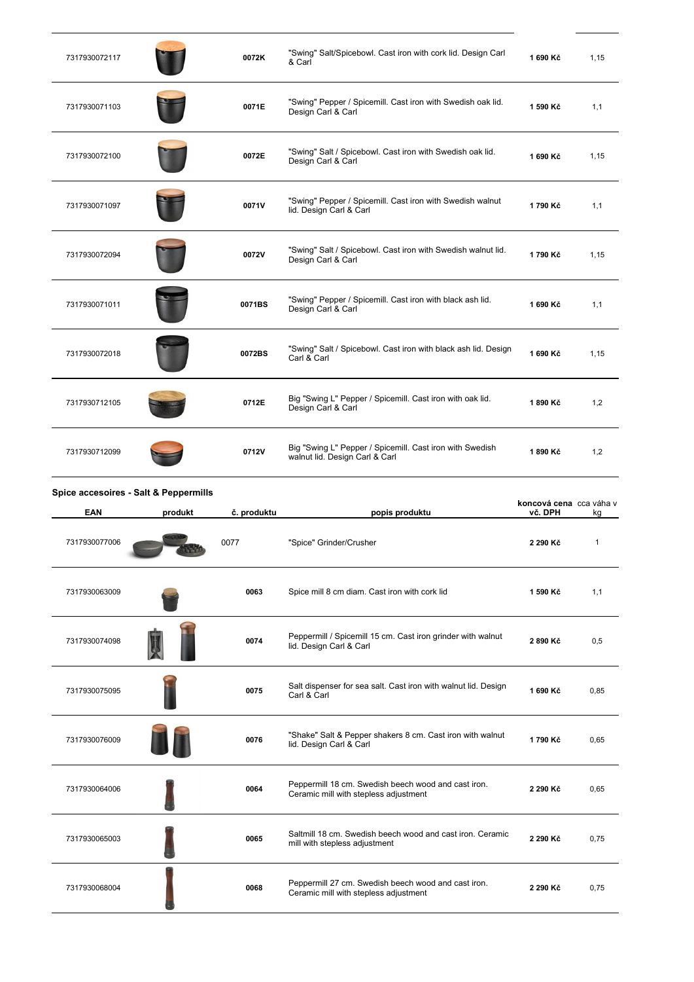| 7317930072117                                       |         | 0072K       | "Swing" Salt/Spicebowl. Cast iron with cork lid. Design Carl<br>& Carl                       | 1 690 Kč                           | 1,15 |
|-----------------------------------------------------|---------|-------------|----------------------------------------------------------------------------------------------|------------------------------------|------|
| 7317930071103                                       |         | 0071E       | "Swing" Pepper / Spicemill. Cast iron with Swedish oak lid.<br>Design Carl & Carl            | 1 590 Kč                           | 1,1  |
| 7317930072100                                       |         | 0072E       | "Swing" Salt / Spicebowl. Cast iron with Swedish oak lid.<br>Design Carl & Carl              | 1 690 Kč                           | 1,15 |
| 7317930071097                                       |         | 0071V       | "Swing" Pepper / Spicemill. Cast iron with Swedish walnut<br>lid. Design Carl & Carl         | 1790 Kč                            | 1,1  |
| 7317930072094                                       |         | 0072V       | "Swing" Salt / Spicebowl. Cast iron with Swedish walnut lid.<br>Design Carl & Carl           | 1790 Kč                            | 1,15 |
| 7317930071011                                       |         | 0071BS      | "Swing" Pepper / Spicemill. Cast iron with black ash lid.<br>Design Carl & Carl              | 1 690 Kč                           | 1,1  |
| 7317930072018                                       |         | 0072BS      | "Swing" Salt / Spicebowl. Cast iron with black ash lid. Design<br>Carl & Carl                | 1 690 Kč                           | 1,15 |
| 7317930712105                                       |         | 0712E       | Big "Swing L" Pepper / Spicemill. Cast iron with oak lid.<br>Design Carl & Carl              | 1890 Kč                            | 1,2  |
| 7317930712099                                       |         | 0712V       | Big "Swing L" Pepper / Spicemill. Cast iron with Swedish<br>walnut lid. Design Carl & Carl   | 1890 Kč                            | 1,2  |
|                                                     |         |             |                                                                                              |                                    |      |
| Spice accesoires - Salt & Peppermills<br><b>EAN</b> | produkt | č. produktu | popis produktu                                                                               | koncová cena cca váha v<br>vč. DPH | kg   |
| 7317930077006                                       |         | 0077        | "Spice" Grinder/Crusher                                                                      | 2 290 Kč                           | 1    |
| 7317930063009                                       |         | 0063        | Spice mill 8 cm diam. Cast iron with cork lid                                                | 1 590 Kč                           | 1,1  |
| 7317930074098                                       |         | 0074        | Peppermill / Spicemill 15 cm. Cast iron grinder with walnut<br>lid. Design Carl & Carl       | 2 890 Kč                           | 0,5  |
| 7317930075095                                       |         | 0075        | Salt dispenser for sea salt. Cast iron with walnut lid. Design<br>Carl & Carl                | 1 690 Kč                           | 0,85 |
| 7317930076009                                       |         | 0076        | "Shake" Salt & Pepper shakers 8 cm. Cast iron with walnut<br>lid. Design Carl & Carl         | 1790 Kč                            | 0,65 |
| 7317930064006                                       |         | 0064        | Peppermill 18 cm. Swedish beech wood and cast iron.<br>Ceramic mill with stepless adjustment | 2 290 Kč                           | 0,65 |
| 7317930065003                                       |         | 0065        | Saltmill 18 cm. Swedish beech wood and cast iron. Ceramic<br>mill with stepless adjustment   | 2 290 Kč                           | 0,75 |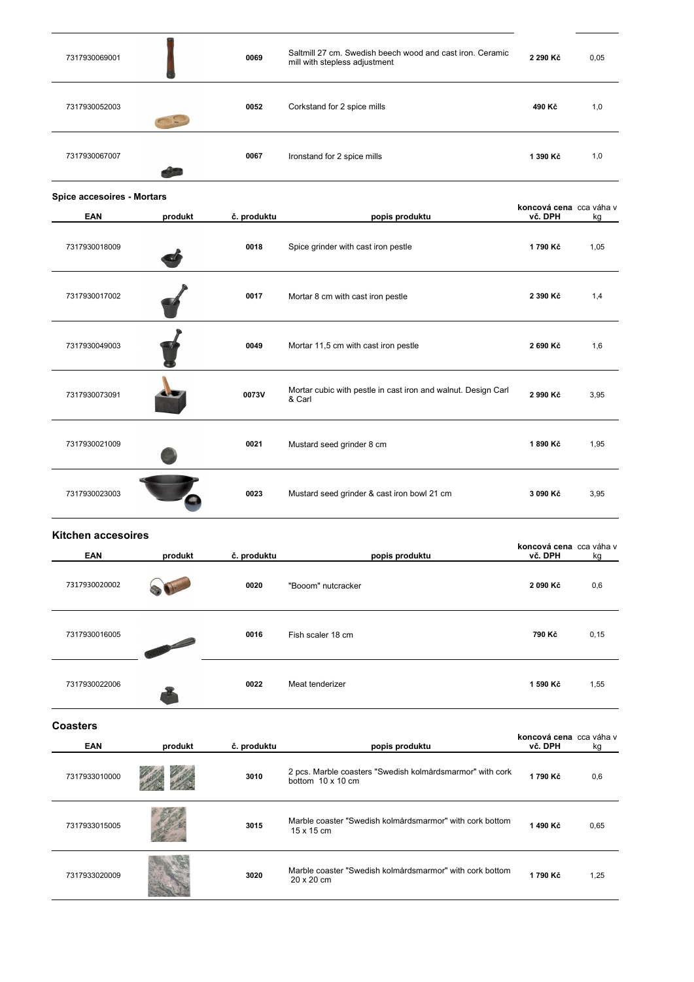| 7317930069001              |         | 0069        | Saltmill 27 cm. Swedish beech wood and cast iron. Ceramic<br>mill with stepless adjustment | 2 290 Kč                           | 0,05  |
|----------------------------|---------|-------------|--------------------------------------------------------------------------------------------|------------------------------------|-------|
| 7317930052003              |         | 0052        | Corkstand for 2 spice mills                                                                | 490 Kč                             | 1,0   |
| 7317930067007              |         | 0067        | Ironstand for 2 spice mills                                                                | 1 390 Kč                           | 1,0   |
| Spice accesoires - Mortars |         |             |                                                                                            |                                    |       |
| <b>EAN</b>                 | produkt | č. produktu | popis produktu                                                                             | koncová cena cca váha v<br>vč. DPH | kg    |
| 7317930018009              |         | 0018        | Spice grinder with cast iron pestle                                                        | 1790 Kč                            | 1,05  |
| 7317930017002              |         | 0017        | Mortar 8 cm with cast iron pestle                                                          | 2 390 Kč                           | 1,4   |
| 7317930049003              |         | 0049        | Mortar 11,5 cm with cast iron pestle                                                       | 2 690 Kč                           | 1,6   |
| 7317930073091              |         | 0073V       | Mortar cubic with pestle in cast iron and walnut. Design Carl<br>& Carl                    | 2 990 Kč                           | 3,95  |
| 7317930021009              |         | 0021        | Mustard seed grinder 8 cm                                                                  | 1890 Kč                            | 1,95  |
| 7317930023003              |         | 0023        | Mustard seed grinder & cast iron bowl 21 cm                                                | 3 090 Kč                           | 3,95  |
| <b>Kitchen accesoires</b>  |         |             |                                                                                            |                                    |       |
| EAN                        | produkt | č. produktu | popis produktu                                                                             | koncová cena cca váha v<br>vč. DPH | kg    |
| 7317930020002              |         | 0020        | "Booom" nutcracker                                                                         | 2 090 Kč                           | 0,6   |
| 7317930016005              |         | 0016        | Fish scaler 18 cm                                                                          | 790 Kč                             | 0, 15 |
| 7317930022006              |         | 0022        | Meat tenderizer                                                                            | 1 590 Kč                           | 1,55  |
| <b>Coasters</b>            |         |             |                                                                                            | koncová cena cca váha v            |       |
| <b>EAN</b>                 | produkt | č. produktu | popis produktu                                                                             | vč. DPH                            | kg    |
| 7317933010000              |         | 3010        | 2 pcs. Marble coasters "Swedish kolmårdsmarmor" with cork<br>bottom 10 x 10 cm             | 1790 Kč                            | 0,6   |
| 7317933015005              |         | 3015        | Marble coaster "Swedish kolmårdsmarmor" with cork bottom<br>15 x 15 cm                     | 1490 Kč                            | 0,65  |
| 7317933020009              |         | 3020        | Marble coaster "Swedish kolmårdsmarmor" with cork bottom<br>20 x 20 cm                     | 1790 Kč                            | 1,25  |